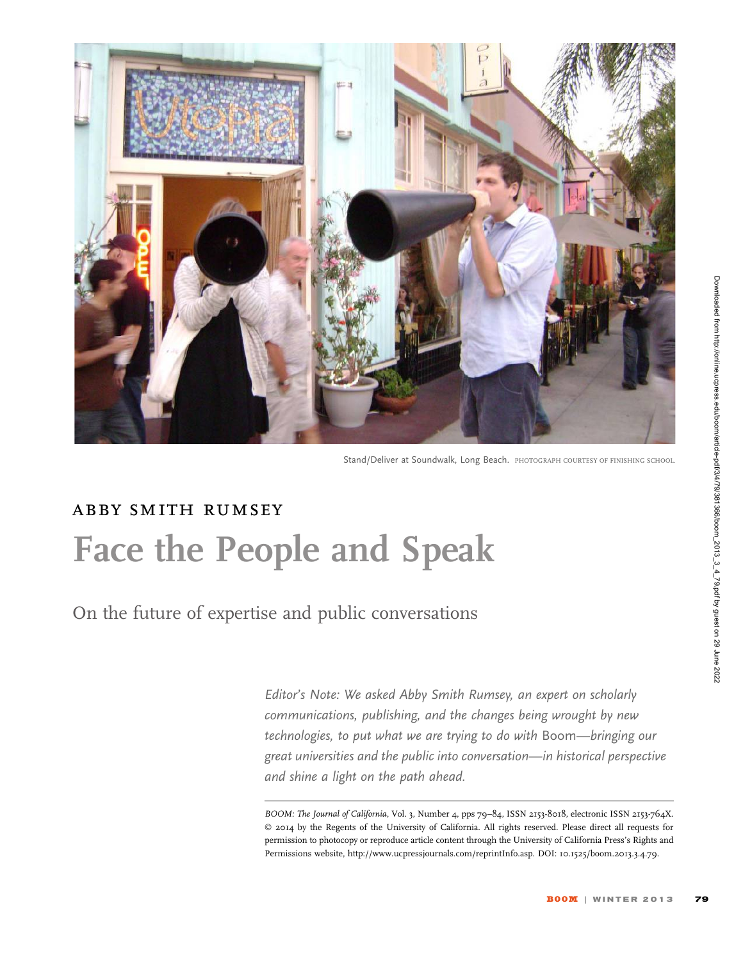

Stand/Deliver at Soundwalk, Long Beach. PHOTOGRAPH COURTESY OF FINISHING SCHOOL.

## abby smith rumsey Face the People and Speak

On the future of expertise and public conversations

Editor's Note: We asked Abby Smith Rumsey, an expert on scholarly communications, publishing, and the changes being wrought by new technologies, to put what we are trying to do with Boom—bringing our great universities and the public into conversation—in historical perspective and shine a light on the path ahead.

BOOM: The Journal of California, Vol. 3, Number 4, pps 79-84, ISSN 2153-8018, electronic ISSN 2153-764X. © 2014 by the Regents of the University of California. All rights reserved. Please direct all requests for permission to photocopy or reproduce article content through the University of California Press's Rights and Permissions website, http://www.ucpressjournals.com/reprintInfo.asp. DOI: 10.1525/boom.2013.3.4.79.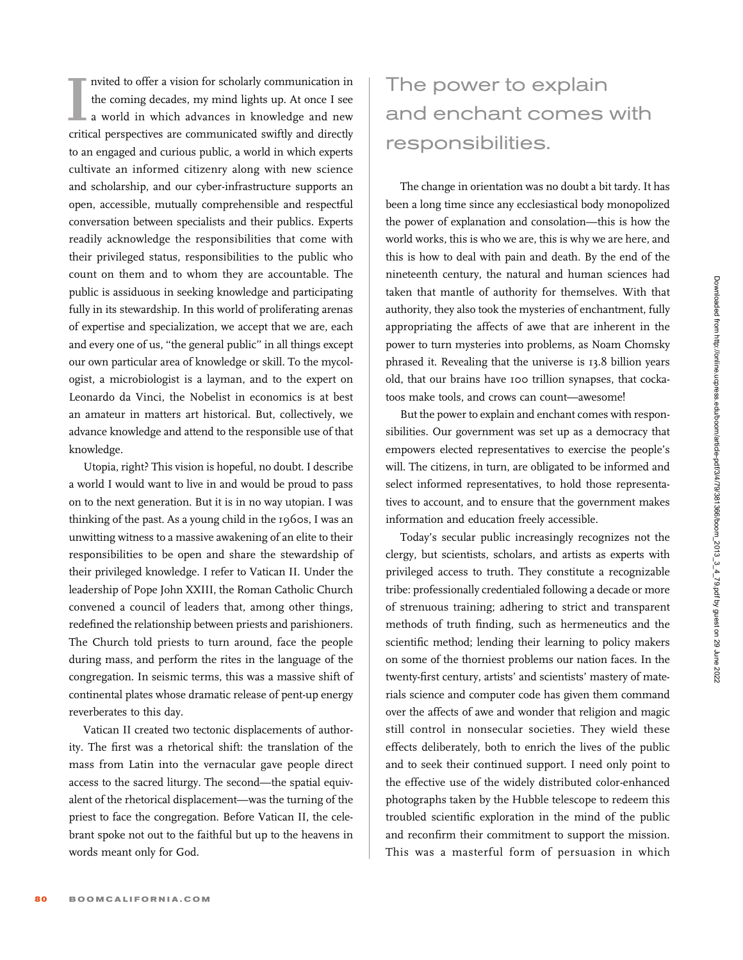In the coming decades, my mind lights up. At once I see<br>
In a world in which advances in knowledge and new<br>
critical perspectives are communicated swiftly and directly nvited to offer a vision for scholarly communication in the coming decades, my mind lights up. At once I see a world in which advances in knowledge and new to an engaged and curious public, a world in which experts cultivate an informed citizenry along with new science and scholarship, and our cyber-infrastructure supports an open, accessible, mutually comprehensible and respectful conversation between specialists and their publics. Experts readily acknowledge the responsibilities that come with their privileged status, responsibilities to the public who count on them and to whom they are accountable. The public is assiduous in seeking knowledge and participating fully in its stewardship. In this world of proliferating arenas of expertise and specialization, we accept that we are, each and every one of us, ''the general public'' in all things except our own particular area of knowledge or skill. To the mycologist, a microbiologist is a layman, and to the expert on Leonardo da Vinci, the Nobelist in economics is at best an amateur in matters art historical. But, collectively, we advance knowledge and attend to the responsible use of that knowledge.

Utopia, right? This vision is hopeful, no doubt. I describe a world I would want to live in and would be proud to pass on to the next generation. But it is in no way utopian. I was thinking of the past. As a young child in the 1960s, I was an unwitting witness to a massive awakening of an elite to their responsibilities to be open and share the stewardship of their privileged knowledge. I refer to Vatican II. Under the leadership of Pope John XXIII, the Roman Catholic Church convened a council of leaders that, among other things, redefined the relationship between priests and parishioners. The Church told priests to turn around, face the people during mass, and perform the rites in the language of the congregation. In seismic terms, this was a massive shift of continental plates whose dramatic release of pent-up energy reverberates to this day.

Vatican II created two tectonic displacements of authority. The first was a rhetorical shift: the translation of the mass from Latin into the vernacular gave people direct access to the sacred liturgy. The second—the spatial equivalent of the rhetorical displacement—was the turning of the priest to face the congregation. Before Vatican II, the celebrant spoke not out to the faithful but up to the heavens in words meant only for God.

## The power to explain and enchant comes with responsibilities.

The change in orientation was no doubt a bit tardy. It has been a long time since any ecclesiastical body monopolized the power of explanation and consolation—this is how the world works, this is who we are, this is why we are here, and this is how to deal with pain and death. By the end of the nineteenth century, the natural and human sciences had taken that mantle of authority for themselves. With that authority, they also took the mysteries of enchantment, fully appropriating the affects of awe that are inherent in the power to turn mysteries into problems, as Noam Chomsky phrased it. Revealing that the universe is 13.8 billion years old, that our brains have 100 trillion synapses, that cockatoos make tools, and crows can count—awesome!

But the power to explain and enchant comes with responsibilities. Our government was set up as a democracy that empowers elected representatives to exercise the people's will. The citizens, in turn, are obligated to be informed and select informed representatives, to hold those representatives to account, and to ensure that the government makes information and education freely accessible.

Today's secular public increasingly recognizes not the clergy, but scientists, scholars, and artists as experts with privileged access to truth. They constitute a recognizable tribe: professionally credentialed following a decade or more of strenuous training; adhering to strict and transparent methods of truth finding, such as hermeneutics and the scientific method; lending their learning to policy makers on some of the thorniest problems our nation faces. In the twenty-first century, artists' and scientists' mastery of materials science and computer code has given them command over the affects of awe and wonder that religion and magic still control in nonsecular societies. They wield these effects deliberately, both to enrich the lives of the public and to seek their continued support. I need only point to the effective use of the widely distributed color-enhanced photographs taken by the Hubble telescope to redeem this troubled scientific exploration in the mind of the public and reconfirm their commitment to support the mission. This was a masterful form of persuasion in which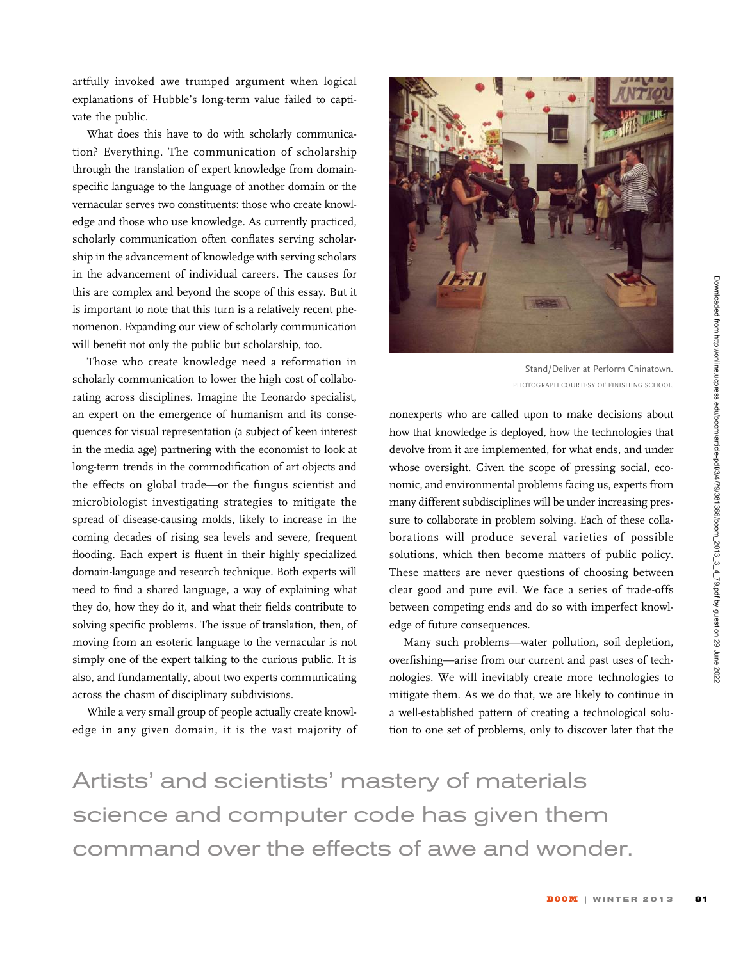Downloaded from http://online.ucpress.edu/boom/article-pdf/3/4/79/381366/boom\_2013\_3\_4\_79.pdf by guest on 29 June 2022

artfully invoked awe trumped argument when logical explanations of Hubble's long-term value failed to captivate the public.

What does this have to do with scholarly communication? Everything. The communication of scholarship through the translation of expert knowledge from domainspecific language to the language of another domain or the vernacular serves two constituents: those who create knowledge and those who use knowledge. As currently practiced, scholarly communication often conflates serving scholarship in the advancement of knowledge with serving scholars in the advancement of individual careers. The causes for this are complex and beyond the scope of this essay. But it is important to note that this turn is a relatively recent phenomenon. Expanding our view of scholarly communication will benefit not only the public but scholarship, too.

Those who create knowledge need a reformation in scholarly communication to lower the high cost of collaborating across disciplines. Imagine the Leonardo specialist, an expert on the emergence of humanism and its consequences for visual representation (a subject of keen interest in the media age) partnering with the economist to look at long-term trends in the commodification of art objects and the effects on global trade—or the fungus scientist and microbiologist investigating strategies to mitigate the spread of disease-causing molds, likely to increase in the coming decades of rising sea levels and severe, frequent flooding. Each expert is fluent in their highly specialized domain-language and research technique. Both experts will need to find a shared language, a way of explaining what they do, how they do it, and what their fields contribute to solving specific problems. The issue of translation, then, of moving from an esoteric language to the vernacular is not simply one of the expert talking to the curious public. It is also, and fundamentally, about two experts communicating across the chasm of disciplinary subdivisions.

While a very small group of people actually create knowledge in any given domain, it is the vast majority of



Stand/Deliver at Perform Chinatown. PHOTOGRAPH COURTESY OF FINISHING SCHOOL.

nonexperts who are called upon to make decisions about how that knowledge is deployed, how the technologies that devolve from it are implemented, for what ends, and under whose oversight. Given the scope of pressing social, economic, and environmental problems facing us, experts from many different subdisciplines will be under increasing pressure to collaborate in problem solving. Each of these collaborations will produce several varieties of possible solutions, which then become matters of public policy. These matters are never questions of choosing between clear good and pure evil. We face a series of trade-offs between competing ends and do so with imperfect knowledge of future consequences.

Many such problems—water pollution, soil depletion, overfishing—arise from our current and past uses of technologies. We will inevitably create more technologies to mitigate them. As we do that, we are likely to continue in a well-established pattern of creating a technological solution to one set of problems, only to discover later that the

Artists' and scientists' mastery of materials science and computer code has given them command over the effects of awe and wonder.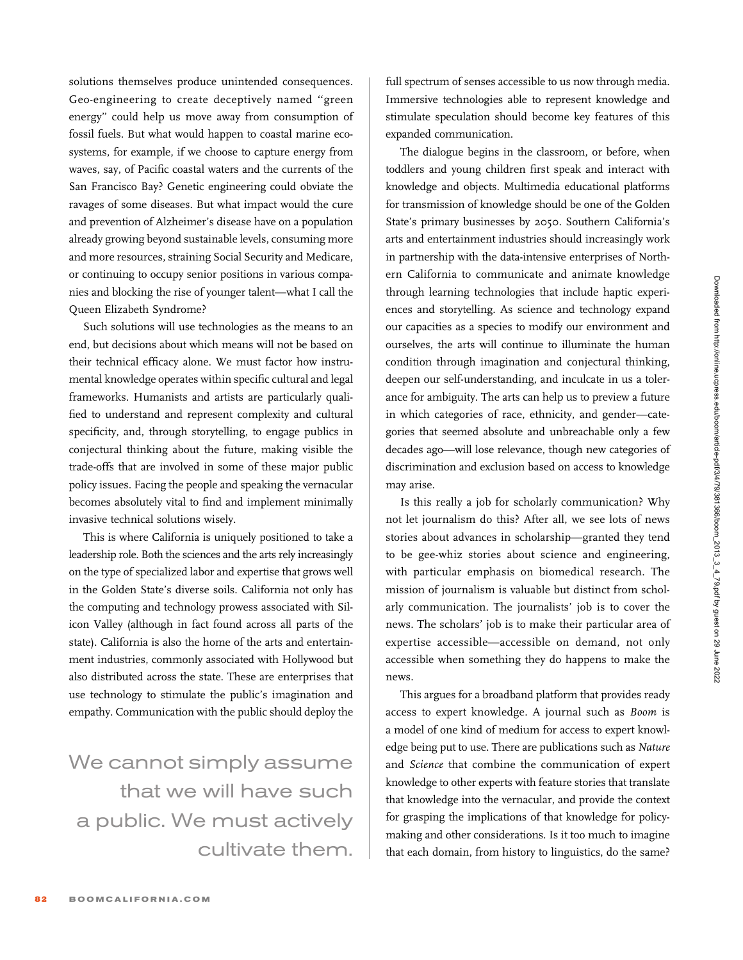solutions themselves produce unintended consequences. Geo-engineering to create deceptively named ''green energy'' could help us move away from consumption of fossil fuels. But what would happen to coastal marine ecosystems, for example, if we choose to capture energy from waves, say, of Pacific coastal waters and the currents of the San Francisco Bay? Genetic engineering could obviate the ravages of some diseases. But what impact would the cure and prevention of Alzheimer's disease have on a population already growing beyond sustainable levels, consuming more and more resources, straining Social Security and Medicare, or continuing to occupy senior positions in various companies and blocking the rise of younger talent—what I call the Queen Elizabeth Syndrome?

Such solutions will use technologies as the means to an end, but decisions about which means will not be based on their technical efficacy alone. We must factor how instrumental knowledge operates within specific cultural and legal frameworks. Humanists and artists are particularly qualified to understand and represent complexity and cultural specificity, and, through storytelling, to engage publics in conjectural thinking about the future, making visible the trade-offs that are involved in some of these major public policy issues. Facing the people and speaking the vernacular becomes absolutely vital to find and implement minimally invasive technical solutions wisely.

This is where California is uniquely positioned to take a leadership role. Both the sciences and the arts rely increasingly on the type of specialized labor and expertise that grows well in the Golden State's diverse soils. California not only has the computing and technology prowess associated with Silicon Valley (although in fact found across all parts of the state). California is also the home of the arts and entertainment industries, commonly associated with Hollywood but also distributed across the state. These are enterprises that use technology to stimulate the public's imagination and empathy. Communication with the public should deploy the

We cannot simply assume that we will have such a public. We must actively cultivate them. full spectrum of senses accessible to us now through media. Immersive technologies able to represent knowledge and stimulate speculation should become key features of this expanded communication.

The dialogue begins in the classroom, or before, when toddlers and young children first speak and interact with knowledge and objects. Multimedia educational platforms for transmission of knowledge should be one of the Golden State's primary businesses by 2050. Southern California's arts and entertainment industries should increasingly work in partnership with the data-intensive enterprises of Northern California to communicate and animate knowledge through learning technologies that include haptic experiences and storytelling. As science and technology expand our capacities as a species to modify our environment and ourselves, the arts will continue to illuminate the human condition through imagination and conjectural thinking, deepen our self-understanding, and inculcate in us a tolerance for ambiguity. The arts can help us to preview a future in which categories of race, ethnicity, and gender—categories that seemed absolute and unbreachable only a few decades ago—will lose relevance, though new categories of discrimination and exclusion based on access to knowledge may arise.

Is this really a job for scholarly communication? Why not let journalism do this? After all, we see lots of news stories about advances in scholarship—granted they tend to be gee-whiz stories about science and engineering, with particular emphasis on biomedical research. The mission of journalism is valuable but distinct from scholarly communication. The journalists' job is to cover the news. The scholars' job is to make their particular area of expertise accessible—accessible on demand, not only accessible when something they do happens to make the news.

This argues for a broadband platform that provides ready access to expert knowledge. A journal such as Boom is a model of one kind of medium for access to expert knowledge being put to use. There are publications such as Nature and Science that combine the communication of expert knowledge to other experts with feature stories that translate that knowledge into the vernacular, and provide the context for grasping the implications of that knowledge for policymaking and other considerations. Is it too much to imagine that each domain, from history to linguistics, do the same?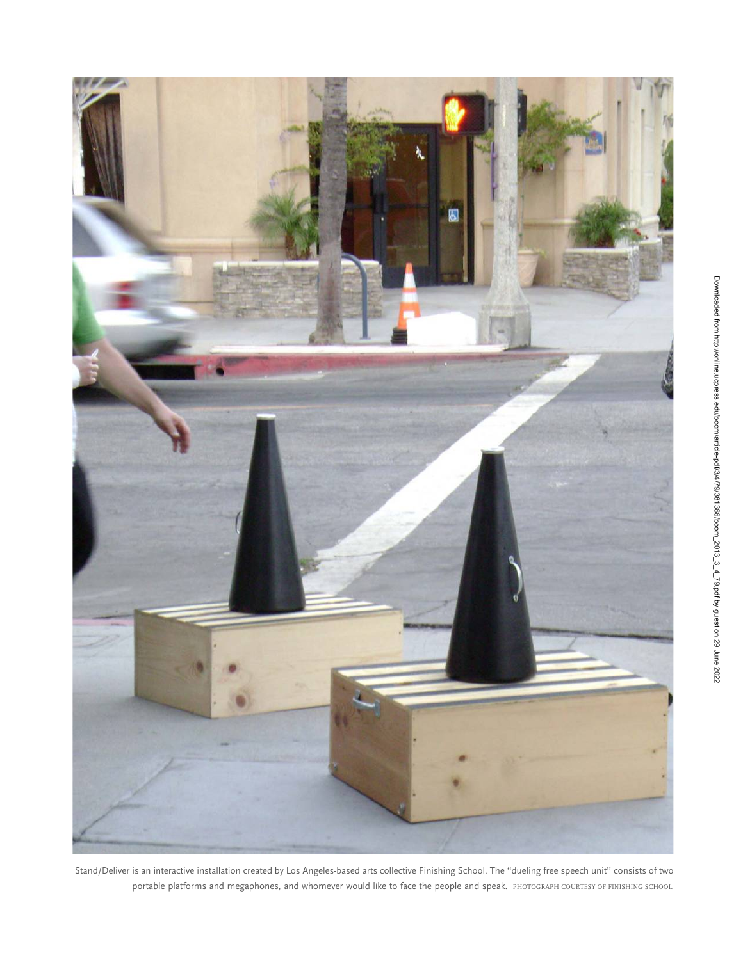

Stand/Deliver is an interactive installation created by Los Angeles-based arts collective Finishing School. The ''dueling free speech unit'' consists of two portable platforms and megaphones, and whomever would like to face the people and speak. PHOTOGRAPH COURTESY OF FINISHING SCHOOL.